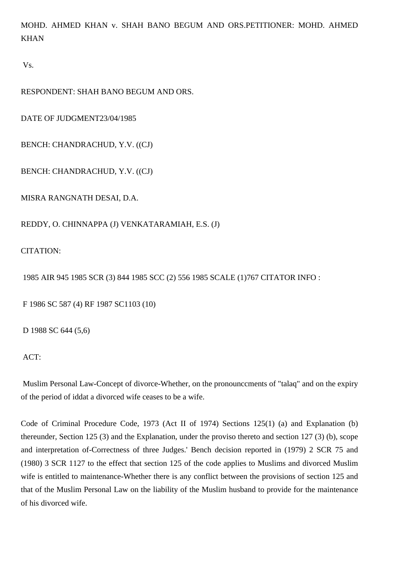MOHD. AHMED KHAN v. SHAH BANO BEGUM AND ORS.PETITIONER: MOHD. AHMED KHAN

Vs.

RESPONDENT: SHAH BANO BEGUM AND ORS.

DATE OF JUDGMENT23/04/1985

BENCH: CHANDRACHUD, Y.V. ((CJ)

BENCH: CHANDRACHUD, Y.V. ((CJ)

MISRA RANGNATH DESAI, D.A.

REDDY, O. CHINNAPPA (J) VENKATARAMIAH, E.S. (J)

CITATION:

1985 AIR 945 1985 SCR (3) 844 1985 SCC (2) 556 1985 SCALE (1)767 CITATOR INFO :

F 1986 SC 587 (4) RF 1987 SC1103 (10)

D 1988 SC 644 (5,6)

ACT:

 Muslim Personal Law-Concept of divorce-Whether, on the pronounccments of "talaq" and on the expiry of the period of iddat a divorced wife ceases to be a wife.

Code of Criminal Procedure Code, 1973 (Act II of 1974) Sections 125(1) (a) and Explanation (b) thereunder, Section 125 (3) and the Explanation, under the proviso thereto and section 127 (3) (b), scope and interpretation of-Correctness of three Judges.' Bench decision reported in (1979) 2 SCR 75 and (1980) 3 SCR 1127 to the effect that section 125 of the code applies to Muslims and divorced Muslim wife is entitled to maintenance-Whether there is any conflict between the provisions of section 125 and that of the Muslim Personal Law on the liability of the Muslim husband to provide for the maintenance of his divorced wife.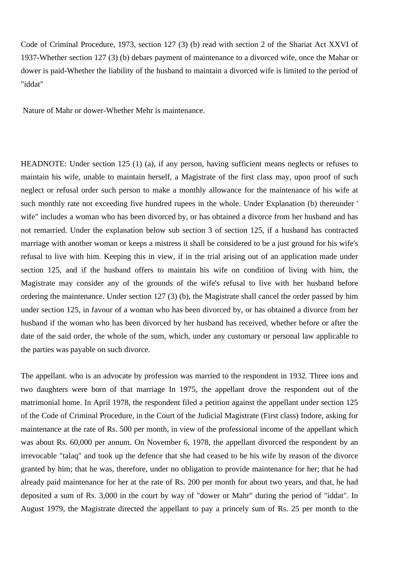Code of Criminal Procedure, 1973, section 127 (3) (b) read with section 2 of the Shariat Act XXVI of 1937-Whether section 127 (3) (b) debars payment of maintenance to a divorced wife, once the Mahar or dower is paid-Whether the liability of the husband to maintain a divorced wife is limited to the period of "iddat"

Nature of Mahr or dower-Whether Mehr is maintenance.

HEADNOTE: Under section 125 (1) (a), if any person, having sufficient means neglects or refuses to maintain his wife, unable to maintain herself, a Magistrate of the first class may, upon proof of such neglect or refusal order such person to make a monthly allowance for the maintenance of his wife at such monthly rate not exceeding five hundred rupees in the whole. Under Explanation (b) thereunder ' wife" includes a woman who has been divorced by, or has obtained a divorce from her husband and has not remarried. Under the explanation below sub section 3 of section 125, if a husband has contracted marriage with another woman or keeps a mistress it shall be considered to be a just ground for his wife's refusal to live with him. Keeping this in view, if in the trial arising out of an application made under section 125, and if the husband offers to maintain his wife on condition of living with him, the Magistrate may consider any of the grounds of the wife's refusal to live with her husband before ordering the maintenance. Under section 127 (3) (b), the Magistrate shall cancel the order passed by him under section 125, in favour of a woman who has been divorced by, or has obtained a divorce from her husband if the woman who has been divorced by her husband has received, whether before or after the date of the said order, the whole of the sum, which, under any customary or personal law applicable to the parties was payable on such divorce.

The appellant. who is an advocate by profession was married to the respondent in 1932. Three ions and two daughters were born of that marriage In 1975, the appellant drove the respondent out of the matrimonial home. In April 1978, the respondent filed a petition against the appellant under section 125 of the Code of Criminal Procedure, in the Court of the Judicial Magistrate (First class) Indore, asking for maintenance at the rate of Rs. 500 per month, in view of the professional income of the appellant which was about Rs. 60,000 per annum. On November 6, 1978, the appellant divorced the respondent by an irrevocable "talaq" and took up the defence that she had ceased to be his wife by reason of the divorce granted by him; that he was, therefore, under no obligation to provide maintenance for her; that he had already paid maintenance for her at the rate of Rs. 200 per month for about two years, and that, he had deposited a sum of Rs. 3,000 in the court by way of "dower or Mahr" during the period of "iddat". In August 1979, the Magistrate directed the appellant to pay a princely sum of Rs. 25 per month to the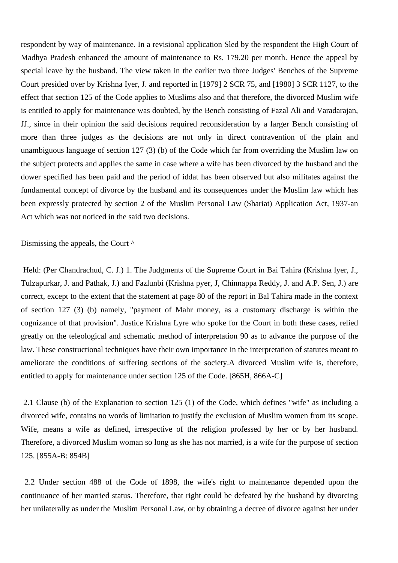respondent by way of maintenance. In a revisional application Sled by the respondent the High Court of Madhya Pradesh enhanced the amount of maintenance to Rs. 179.20 per month. Hence the appeal by special leave by the husband. The view taken in the earlier two three Judges' Benches of the Supreme Court presided over by Krishna Iyer, J. and reported in [1979] 2 SCR 75, and [1980] 3 SCR 1127, to the effect that section 125 of the Code applies to Muslims also and that therefore, the divorced Muslim wife is entitled to apply for maintenance was doubted, by the Bench consisting of Fazal Ali and Varadarajan, JJ., since in their opinion the said decisions required reconsideration by a larger Bench consisting of more than three judges as the decisions are not only in direct contravention of the plain and unambiguous language of section 127 (3) (b) of the Code which far from overriding the Muslim law on the subject protects and applies the same in case where a wife has been divorced by the husband and the dower specified has been paid and the period of iddat has been observed but also militates against the fundamental concept of divorce by the husband and its consequences under the Muslim law which has been expressly protected by section 2 of the Muslim Personal Law (Shariat) Application Act, 1937-an Act which was not noticed in the said two decisions.

## Dismissing the appeals, the Court  $\wedge$

 Held: (Per Chandrachud, C. J.) 1. The Judgments of the Supreme Court in Bai Tahira (Krishna lyer, J., Tulzapurkar, J. and Pathak, J.) and Fazlunbi (Krishna pyer, J, Chinnappa Reddy, J. and A.P. Sen, J.) are correct, except to the extent that the statement at page 80 of the report in Bal Tahira made in the context of section 127 (3) (b) namely, "payment of Mahr money, as a customary discharge is within the cognizance of that provision". Justice Krishna Lyre who spoke for the Court in both these cases, relied greatly on the teleological and schematic method of interpretation 90 as to advance the purpose of the law. These constructional techniques have their own importance in the interpretation of statutes meant to ameliorate the conditions of suffering sections of the society.A divorced Muslim wife is, therefore, entitled to apply for maintenance under section 125 of the Code. [865H, 866A-C]

 2.1 Clause (b) of the Explanation to section 125 (1) of the Code, which defines "wife" as including a divorced wife, contains no words of limitation to justify the exclusion of Muslim women from its scope. Wife, means a wife as defined, irrespective of the religion professed by her or by her husband. Therefore, a divorced Muslim woman so long as she has not married, is a wife for the purpose of section 125. [855A-B: 854B]

 2.2 Under section 488 of the Code of 1898, the wife's right to maintenance depended upon the continuance of her married status. Therefore, that right could be defeated by the husband by divorcing her unilaterally as under the Muslim Personal Law, or by obtaining a decree of divorce against her under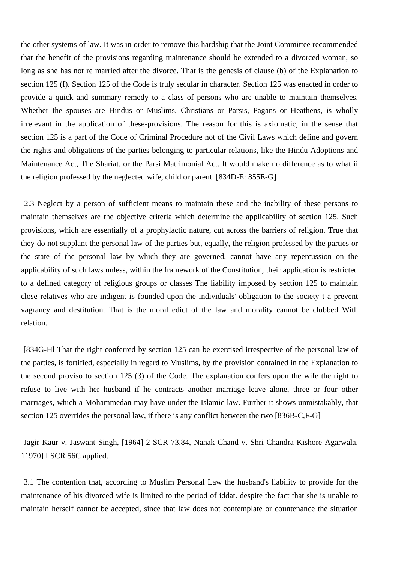the other systems of law. It was in order to remove this hardship that the Joint Committee recommended that the benefit of the provisions regarding maintenance should be extended to a divorced woman, so long as she has not re married after the divorce. That is the genesis of clause (b) of the Explanation to section 125 (I). Section 125 of the Code is truly secular in character. Section 125 was enacted in order to provide a quick and summary remedy to a class of persons who are unable to maintain themselves. Whether the spouses are Hindus or Muslims, Christians or Parsis, Pagans or Heathens, is wholly irrelevant in the application of these-provisions. The reason for this is axiomatic, in the sense that section 125 is a part of the Code of Criminal Procedure not of the Civil Laws which define and govern the rights and obligations of the parties belonging to particular relations, like the Hindu Adoptions and Maintenance Act, The Shariat, or the Parsi Matrimonial Act. It would make no difference as to what ii the religion professed by the neglected wife, child or parent. [834D-E: 855E-G]

 2.3 Neglect by a person of sufficient means to maintain these and the inability of these persons to maintain themselves are the objective criteria which determine the applicability of section 125. Such provisions, which are essentially of a prophylactic nature, cut across the barriers of religion. True that they do not supplant the personal law of the parties but, equally, the religion professed by the parties or the state of the personal law by which they are governed, cannot have any repercussion on the applicability of such laws unless, within the framework of the Constitution, their application is restricted to a defined category of religious groups or classes The liability imposed by section 125 to maintain close relatives who are indigent is founded upon the individuals' obligation to the society t a prevent vagrancy and destitution. That is the moral edict of the law and morality cannot be clubbed With relation.

 [834G-Hl That the right conferred by section 125 can be exercised irrespective of the personal law of the parties, is fortified, especially in regard to Muslims, by the provision contained in the Explanation to the second proviso to section 125 (3) of the Code. The explanation confers upon the wife the right to refuse to live with her husband if he contracts another marriage leave alone, three or four other marriages, which a Mohammedan may have under the Islamic law. Further it shows unmistakably, that section 125 overrides the personal law, if there is any conflict between the two [836B-C,F-G]

 Jagir Kaur v. Jaswant Singh, [1964] 2 SCR 73,84, Nanak Chand v. Shri Chandra Kishore Agarwala, 11970] I SCR 56C applied.

 3.1 The contention that, according to Muslim Personal Law the husband's liability to provide for the maintenance of his divorced wife is limited to the period of iddat. despite the fact that she is unable to maintain herself cannot be accepted, since that law does not contemplate or countenance the situation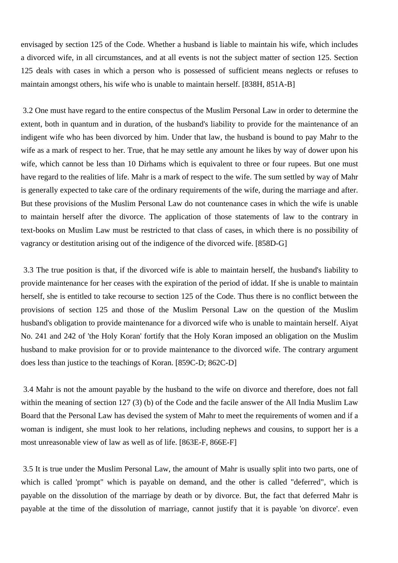envisaged by section 125 of the Code. Whether a husband is liable to maintain his wife, which includes a divorced wife, in all circumstances, and at all events is not the subject matter of section 125. Section 125 deals with cases in which a person who is possessed of sufficient means neglects or refuses to maintain amongst others, his wife who is unable to maintain herself. [838H, 851A-B]

 3.2 One must have regard to the entire conspectus of the Muslim Personal Law in order to determine the extent, both in quantum and in duration, of the husband's liability to provide for the maintenance of an indigent wife who has been divorced by him. Under that law, the husband is bound to pay Mahr to the wife as a mark of respect to her. True, that he may settle any amount he likes by way of dower upon his wife, which cannot be less than 10 Dirhams which is equivalent to three or four rupees. But one must have regard to the realities of life. Mahr is a mark of respect to the wife. The sum settled by way of Mahr is generally expected to take care of the ordinary requirements of the wife, during the marriage and after. But these provisions of the Muslim Personal Law do not countenance cases in which the wife is unable to maintain herself after the divorce. The application of those statements of law to the contrary in text-books on Muslim Law must be restricted to that class of cases, in which there is no possibility of vagrancy or destitution arising out of the indigence of the divorced wife. [858D-G]

 3.3 The true position is that, if the divorced wife is able to maintain herself, the husband's liability to provide maintenance for her ceases with the expiration of the period of iddat. If she is unable to maintain herself, she is entitled to take recourse to section 125 of the Code. Thus there is no conflict between the provisions of section 125 and those of the Muslim Personal Law on the question of the Muslim husband's obligation to provide maintenance for a divorced wife who is unable to maintain herself. Aiyat No. 241 and 242 of 'the Holy Koran' fortify that the Holy Koran imposed an obligation on the Muslim husband to make provision for or to provide maintenance to the divorced wife. The contrary argument does less than justice to the teachings of Koran. [859C-D; 862C-D]

 3.4 Mahr is not the amount payable by the husband to the wife on divorce and therefore, does not fall within the meaning of section 127 (3) (b) of the Code and the facile answer of the All India Muslim Law Board that the Personal Law has devised the system of Mahr to meet the requirements of women and if a woman is indigent, she must look to her relations, including nephews and cousins, to support her is a most unreasonable view of law as well as of life. [863E-F, 866E-F]

 3.5 It is true under the Muslim Personal Law, the amount of Mahr is usually split into two parts, one of which is called 'prompt" which is payable on demand, and the other is called "deferred", which is payable on the dissolution of the marriage by death or by divorce. But, the fact that deferred Mahr is payable at the time of the dissolution of marriage, cannot justify that it is payable 'on divorce'. even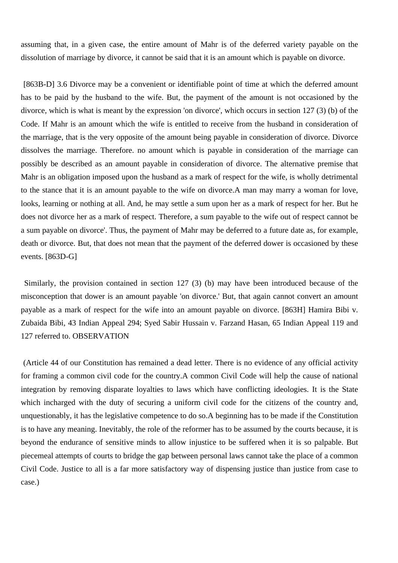assuming that, in a given case, the entire amount of Mahr is of the deferred variety payable on the dissolution of marriage by divorce, it cannot be said that it is an amount which is payable on divorce.

[863B-D] 3.6 Divorce may be a convenient or identifiable point of time at which the deferred amount has to be paid by the husband to the wife. But, the payment of the amount is not occasioned by the divorce, which is what is meant by the expression 'on divorce', which occurs in section 127 (3) (b) of the Code. If Mahr is an amount which the wife is entitled to receive from the husband in consideration of the marriage, that is the very opposite of the amount being payable in consideration of divorce. Divorce dissolves the marriage. Therefore. no amount which is payable in consideration of the marriage can possibly be described as an amount payable in consideration of divorce. The alternative premise that Mahr is an obligation imposed upon the husband as a mark of respect for the wife, is wholly detrimental to the stance that it is an amount payable to the wife on divorce.A man may marry a woman for love, looks, learning or nothing at all. And, he may settle a sum upon her as a mark of respect for her. But he does not divorce her as a mark of respect. Therefore, a sum payable to the wife out of respect cannot be a sum payable on divorce'. Thus, the payment of Mahr may be deferred to a future date as, for example, death or divorce. But, that does not mean that the payment of the deferred dower is occasioned by these events. [863D-G]

 Similarly, the provision contained in section 127 (3) (b) may have been introduced because of the misconception that dower is an amount payable 'on divorce.' But, that again cannot convert an amount payable as a mark of respect for the wife into an amount payable on divorce. [863H] Hamira Bibi v. Zubaida Bibi, 43 Indian Appeal 294; Syed Sabir Hussain v. Farzand Hasan, 65 Indian Appeal 119 and 127 referred to. OBSERVATION

 (Article 44 of our Constitution has remained a dead letter. There is no evidence of any official activity for framing a common civil code for the country.A common Civil Code will help the cause of national integration by removing disparate loyalties to laws which have conflicting ideologies. It is the State which incharged with the duty of securing a uniform civil code for the citizens of the country and, unquestionably, it has the legislative competence to do so.A beginning has to be made if the Constitution is to have any meaning. Inevitably, the role of the reformer has to be assumed by the courts because, it is beyond the endurance of sensitive minds to allow injustice to be suffered when it is so palpable. But piecemeal attempts of courts to bridge the gap between personal laws cannot take the place of a common Civil Code. Justice to all is a far more satisfactory way of dispensing justice than justice from case to case.)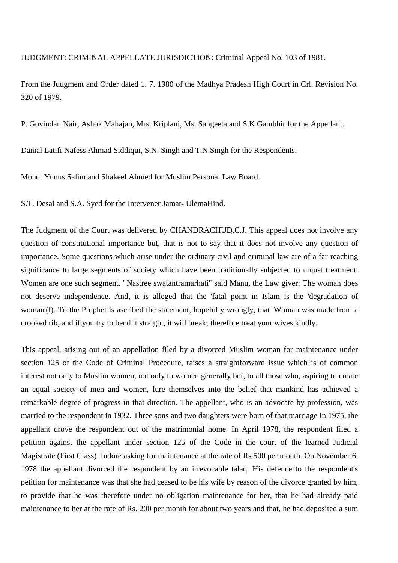JUDGMENT: CRIMINAL APPELLATE JURISDICTION: Criminal Appeal No. 103 of 1981.

From the Judgment and Order dated 1. 7. 1980 of the Madhya Pradesh High Court in Crl. Revision No. 320 of 1979.

P. Govindan Nair, Ashok Mahajan, Mrs. Kriplani, Ms. Sangeeta and S.K Gambhir for the Appellant.

Danial Latifi Nafess Ahmad Siddiqui, S.N. Singh and T.N.Singh for the Respondents.

Mohd. Yunus Salim and Shakeel Ahmed for Muslim Personal Law Board.

S.T. Desai and S.A. Syed for the Intervener Jamat- UlemaHind.

The Judgment of the Court was delivered by CHANDRACHUD,C.J. This appeal does not involve any question of constitutional importance but, that is not to say that it does not involve any question of importance. Some questions which arise under the ordinary civil and criminal law are of a far-reaching significance to large segments of society which have been traditionally subjected to unjust treatment. Women are one such segment. ' Nastree swatantramarhati" said Manu, the Law giver: The woman does not deserve independence. And, it is alleged that the 'fatal point in Islam is the 'degradation of woman'(l). To the Prophet is ascribed the statement, hopefully wrongly, that 'Woman was made from a crooked rib, and if you try to bend it straight, it will break; therefore treat your wives kindly.

This appeal, arising out of an appellation filed by a divorced Muslim woman for maintenance under section 125 of the Code of Criminal Procedure, raises a straightforward issue which is of common interest not only to Muslim women, not only to women generally but, to all those who, aspiring to create an equal society of men and women, lure themselves into the belief that mankind has achieved a remarkable degree of progress in that direction. The appellant, who is an advocate by profession, was married to the respondent in 1932. Three sons and two daughters were born of that marriage In 1975, the appellant drove the respondent out of the matrimonial home. In April 1978, the respondent filed a petition against the appellant under section 125 of the Code in the court of the learned Judicial Magistrate (First Class), Indore asking for maintenance at the rate of Rs 500 per month. On November 6, 1978 the appellant divorced the respondent by an irrevocable talaq. His defence to the respondent's petition for maintenance was that she had ceased to be his wife by reason of the divorce granted by him, to provide that he was therefore under no obligation maintenance for her, that he had already paid maintenance to her at the rate of Rs. 200 per month for about two years and that, he had deposited a sum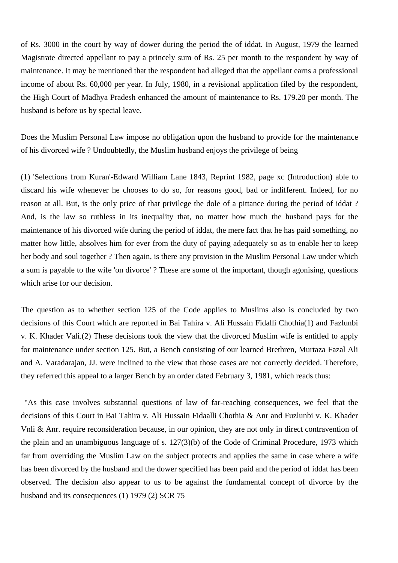of Rs. 3000 in the court by way of dower during the period the of iddat. In August, 1979 the learned Magistrate directed appellant to pay a princely sum of Rs. 25 per month to the respondent by way of maintenance. It may be mentioned that the respondent had alleged that the appellant earns a professional income of about Rs. 60,000 per year. In July, 1980, in a revisional application filed by the respondent, the High Court of Madhya Pradesh enhanced the amount of maintenance to Rs. 179.20 per month. The husband is before us by special leave.

Does the Muslim Personal Law impose no obligation upon the husband to provide for the maintenance of his divorced wife ? Undoubtedly, the Muslim husband enjoys the privilege of being

(1) 'Selections from Kuran'-Edward William Lane 1843, Reprint 1982, page xc (Introduction) able to discard his wife whenever he chooses to do so, for reasons good, bad or indifferent. Indeed, for no reason at all. But, is the only price of that privilege the dole of a pittance during the period of iddat ? And, is the law so ruthless in its inequality that, no matter how much the husband pays for the maintenance of his divorced wife during the period of iddat, the mere fact that he has paid something, no matter how little, absolves him for ever from the duty of paying adequately so as to enable her to keep her body and soul together ? Then again, is there any provision in the Muslim Personal Law under which a sum is payable to the wife 'on divorce' ? These are some of the important, though agonising, questions which arise for our decision.

The question as to whether section 125 of the Code applies to Muslims also is concluded by two decisions of this Court which are reported in Bai Tahira v. Ali Hussain Fidalli Chothia(1) and Fazlunbi v. K. Khader Vali.(2) These decisions took the view that the divorced Muslim wife is entitled to apply for maintenance under section 125. But, a Bench consisting of our learned Brethren, Murtaza Fazal Ali and A. Varadarajan, JJ. were inclined to the view that those cases are not correctly decided. Therefore, they referred this appeal to a larger Bench by an order dated February 3, 1981, which reads thus:

 "As this case involves substantial questions of law of far-reaching consequences, we feel that the decisions of this Court in Bai Tahira v. Ali Hussain Fidaalli Chothia & Anr and Fuzlunbi v. K. Khader Vnli & Anr. require reconsideration because, in our opinion, they are not only in direct contravention of the plain and an unambiguous language of s. 127(3)(b) of the Code of Criminal Procedure, 1973 which far from overriding the Muslim Law on the subject protects and applies the same in case where a wife has been divorced by the husband and the dower specified has been paid and the period of iddat has been observed. The decision also appear to us to be against the fundamental concept of divorce by the husband and its consequences (1) 1979 (2) SCR 75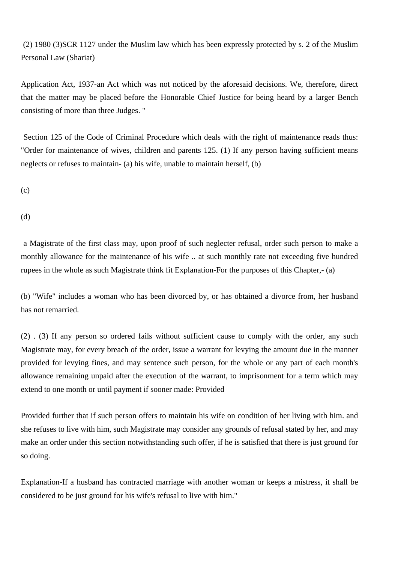(2) 1980 (3)SCR 1127 under the Muslim law which has been expressly protected by s. 2 of the Muslim Personal Law (Shariat)

Application Act, 1937-an Act which was not noticed by the aforesaid decisions. We, therefore, direct that the matter may be placed before the Honorable Chief Justice for being heard by a larger Bench consisting of more than three Judges. "

 Section 125 of the Code of Criminal Procedure which deals with the right of maintenance reads thus: "Order for maintenance of wives, children and parents 125. (1) If any person having sufficient means neglects or refuses to maintain- (a) his wife, unable to maintain herself, (b)

(c)

(d)

 a Magistrate of the first class may, upon proof of such neglecter refusal, order such person to make a monthly allowance for the maintenance of his wife .. at such monthly rate not exceeding five hundred rupees in the whole as such Magistrate think fit Explanation-For the purposes of this Chapter,- (a)

(b) "Wife" includes a woman who has been divorced by, or has obtained a divorce from, her husband has not remarried.

(2) . (3) If any person so ordered fails without sufficient cause to comply with the order, any such Magistrate may, for every breach of the order, issue a warrant for levying the amount due in the manner provided for levying fines, and may sentence such person, for the whole or any part of each month's allowance remaining unpaid after the execution of the warrant, to imprisonment for a term which may extend to one month or until payment if sooner made: Provided

Provided further that if such person offers to maintain his wife on condition of her living with him. and she refuses to live with him, such Magistrate may consider any grounds of refusal stated by her, and may make an order under this section notwithstanding such offer, if he is satisfied that there is just ground for so doing.

Explanation-If a husband has contracted marriage with another woman or keeps a mistress, it shall be considered to be just ground for his wife's refusal to live with him."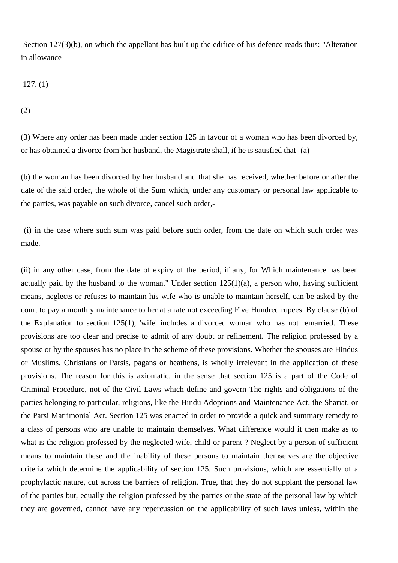Section 127(3)(b), on which the appellant has built up the edifice of his defence reads thus: "Alteration" in allowance

127. (1)

(2)

(3) Where any order has been made under section 125 in favour of a woman who has been divorced by, or has obtained a divorce from her husband, the Magistrate shall, if he is satisfied that- (a)

(b) the woman has been divorced by her husband and that she has received, whether before or after the date of the said order, the whole of the Sum which, under any customary or personal law applicable to the parties, was payable on such divorce, cancel such order,-

 (i) in the case where such sum was paid before such order, from the date on which such order was made.

(ii) in any other case, from the date of expiry of the period, if any, for Which maintenance has been actually paid by the husband to the woman." Under section  $125(1)(a)$ , a person who, having sufficient means, neglects or refuses to maintain his wife who is unable to maintain herself, can be asked by the court to pay a monthly maintenance to her at a rate not exceeding Five Hundred rupees. By clause (b) of the Explanation to section 125(1), 'wife' includes a divorced woman who has not remarried. These provisions are too clear and precise to admit of any doubt or refinement. The religion professed by a spouse or by the spouses has no place in the scheme of these provisions. Whether the spouses are Hindus or Muslims, Christians or Parsis, pagans or heathens, is wholly irrelevant in the application of these provisions. The reason for this is axiomatic, in the sense that section 125 is a part of the Code of Criminal Procedure, not of the Civil Laws which define and govern The rights and obligations of the parties belonging to particular, religions, like the Hindu Adoptions and Maintenance Act, the Shariat, or the Parsi Matrimonial Act. Section 125 was enacted in order to provide a quick and summary remedy to a class of persons who are unable to maintain themselves. What difference would it then make as to what is the religion professed by the neglected wife, child or parent ? Neglect by a person of sufficient means to maintain these and the inability of these persons to maintain themselves are the objective criteria which determine the applicability of section 125. Such provisions, which are essentially of a prophylactic nature, cut across the barriers of religion. True, that they do not supplant the personal law of the parties but, equally the religion professed by the parties or the state of the personal law by which they are governed, cannot have any repercussion on the applicability of such laws unless, within the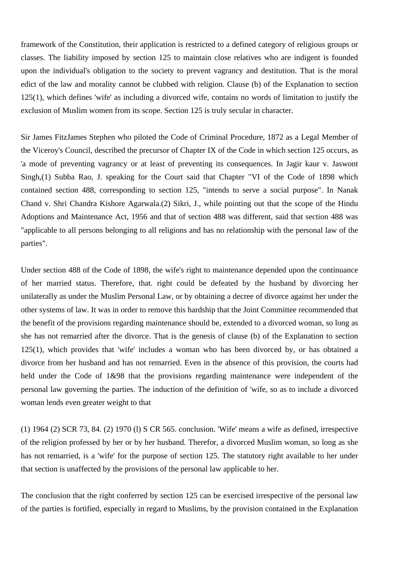framework of the Constitution, their application is restricted to a defined category of religious groups or classes. The liability imposed by section 125 to maintain close relatives who are indigent is founded upon the individual's obligation to the society to prevent vagrancy and destitution. That is the moral edict of the law and morality cannot be clubbed with religion. Clause (b) of the Explanation to section 125(1), which defines 'wife' as including a divorced wife, contains no words of limitation to justify the exclusion of Muslim women from its scope. Section 125 is truly secular in character.

Sir James FitzJames Stephen who piloted the Code of Criminal Procedure, 1872 as a Legal Member of the Viceroy's Council, described the precursor of Chapter IX of the Code in which section 125 occurs, as 'a mode of preventing vagrancy or at least of preventing its consequences. In Jagir kaur v. Jaswont Singh,(1) Subba Rao, J. speaking for the Court said that Chapter "VI of the Code of 1898 which contained section 488, corresponding to section 125, "intends to serve a social purpose". In Nanak Chand v. Shri Chandra Kishore Agarwala.(2) Sikri, J., while pointing out that the scope of the Hindu Adoptions and Maintenance Act, 1956 and that of section 488 was different, said that section 488 was "applicable to all persons belonging to all religions and has no relationship with the personal law of the parties".

Under section 488 of the Code of 1898, the wife's right to maintenance depended upon the continuance of her married status. Therefore, that. right could be defeated by the husband by divorcing her unilaterally as under the Muslim Personal Law, or by obtaining a decree of divorce against her under the other systems of law. It was in order to remove this hardship that the Joint Committee recommended that the benefit of the provisions regarding maintenance should be, extended to a divorced woman, so long as she has not remarried after the divorce. That is the genesis of clause (b) of the Explanation to section 125(1), which provides that 'wife' includes a woman who has been divorced by, or has obtained a divorce from her husband and has not remarried. Even in the absence of this provision, the courts had held under the Code of 1&98 that the provisions regarding maintenance were independent of the personal law governing the parties. The induction of the definition of 'wife, so as to include a divorced woman lends even greater weight to that

(1) 1964 (2) SCR 73, 84. (2) 1970 (l) S CR 565. conclusion. 'Wife' means a wife as defined, irrespective of the religion professed by her or by her husband. Therefor, a divorced Muslim woman, so long as she has not remarried, is a 'wife' for the purpose of section 125. The statutory right available to her under that section is unaffected by the provisions of the personal law applicable to her.

The conclusion that the right conferred by section 125 can be exercised irrespective of the personal law of the parties is fortified, especially in regard to Muslims, by the provision contained in the Explanation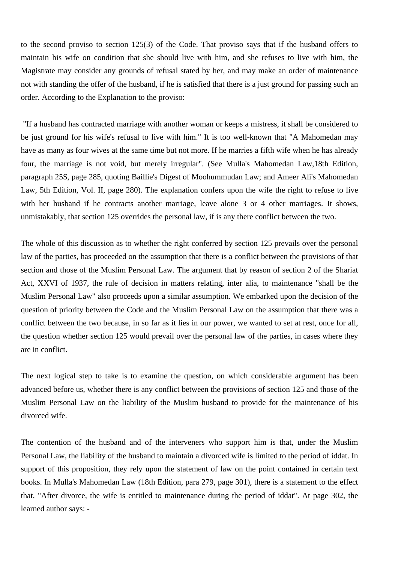to the second proviso to section 125(3) of the Code. That proviso says that if the husband offers to maintain his wife on condition that she should live with him, and she refuses to live with him, the Magistrate may consider any grounds of refusal stated by her, and may make an order of maintenance not with standing the offer of the husband, if he is satisfied that there is a just ground for passing such an order. According to the Explanation to the proviso:

 "If a husband has contracted marriage with another woman or keeps a mistress, it shall be considered to be just ground for his wife's refusal to live with him." It is too well-known that "A Mahomedan may have as many as four wives at the same time but not more. If he marries a fifth wife when he has already four, the marriage is not void, but merely irregular". (See Mulla's Mahomedan Law,18th Edition, paragraph 25S, page 285, quoting Baillie's Digest of Moohummudan Law; and Ameer Ali's Mahomedan Law, 5th Edition, Vol. II, page 280). The explanation confers upon the wife the right to refuse to live with her husband if he contracts another marriage, leave alone 3 or 4 other marriages. It shows, unmistakably, that section 125 overrides the personal law, if is any there conflict between the two.

The whole of this discussion as to whether the right conferred by section 125 prevails over the personal law of the parties, has proceeded on the assumption that there is a conflict between the provisions of that section and those of the Muslim Personal Law. The argument that by reason of section 2 of the Shariat Act, XXVI of 1937, the rule of decision in matters relating, inter alia, to maintenance "shall be the Muslim Personal Law" also proceeds upon a similar assumption. We embarked upon the decision of the question of priority between the Code and the Muslim Personal Law on the assumption that there was a conflict between the two because, in so far as it lies in our power, we wanted to set at rest, once for all, the question whether section 125 would prevail over the personal law of the parties, in cases where they are in conflict.

The next logical step to take is to examine the question, on which considerable argument has been advanced before us, whether there is any conflict between the provisions of section 125 and those of the Muslim Personal Law on the liability of the Muslim husband to provide for the maintenance of his divorced wife.

The contention of the husband and of the interveners who support him is that, under the Muslim Personal Law, the liability of the husband to maintain a divorced wife is limited to the period of iddat. In support of this proposition, they rely upon the statement of law on the point contained in certain text books. In Mulla's Mahomedan Law (18th Edition, para 279, page 301), there is a statement to the effect that, "After divorce, the wife is entitled to maintenance during the period of iddat". At page 302, the learned author says: -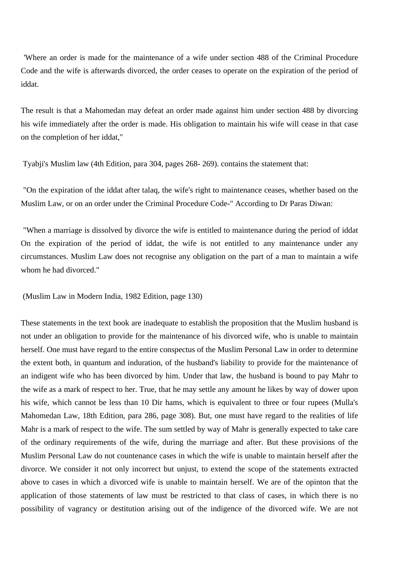'Where an order is made for the maintenance of a wife under section 488 of the Criminal Procedure Code and the wife is afterwards divorced, the order ceases to operate on the expiration of the period of iddat.

The result is that a Mahomedan may defeat an order made against him under section 488 by divorcing his wife immediately after the order is made. His obligation to maintain his wife will cease in that case on the completion of her iddat,"

Tyabji's Muslim law (4th Edition, para 304, pages 268- 269). contains the statement that:

 "On the expiration of the iddat after talaq, the wife's right to maintenance ceases, whether based on the Muslim Law, or on an order under the Criminal Procedure Code-" According to Dr Paras Diwan:

 "When a marriage is dissolved by divorce the wife is entitled to maintenance during the period of iddat On the expiration of the period of iddat, the wife is not entitled to any maintenance under any circumstances. Muslim Law does not recognise any obligation on the part of a man to maintain a wife whom he had divorced."

(Muslim Law in Modern India, 1982 Edition, page 130)

These statements in the text book are inadequate to establish the proposition that the Muslim husband is not under an obligation to provide for the maintenance of his divorced wife, who is unable to maintain herself. One must have regard to the entire conspectus of the Muslim Personal Law in order to determine the extent both, in quantum and induration, of the husband's liability to provide for the maintenance of an indigent wife who has been divorced by him. Under that law, the husband is bound to pay Mahr to the wife as a mark of respect to her. True, that he may settle any amount he likes by way of dower upon his wife, which cannot be less than 10 Dir hams, which is equivalent to three or four rupees (Mulla's Mahomedan Law, 18th Edition, para 286, page 308). But, one must have regard to the realities of life Mahr is a mark of respect to the wife. The sum settled by way of Mahr is generally expected to take care of the ordinary requirements of the wife, during the marriage and after. But these provisions of the Muslim Personal Law do not countenance cases in which the wife is unable to maintain herself after the divorce. We consider it not only incorrect but unjust, to extend the scope of the statements extracted above to cases in which a divorced wife is unable to maintain herself. We are of the opinton that the application of those statements of law must be restricted to that class of cases, in which there is no possibility of vagrancy or destitution arising out of the indigence of the divorced wife. We are not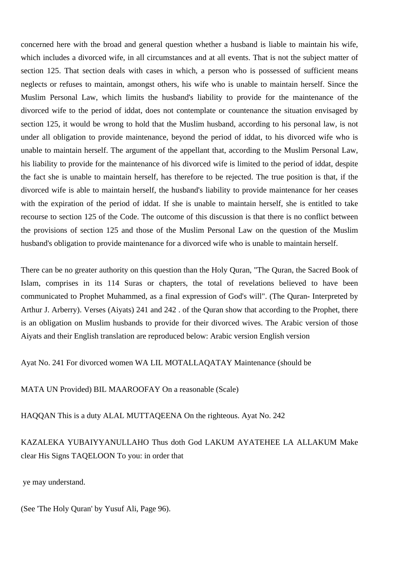concerned here with the broad and general question whether a husband is liable to maintain his wife, which includes a divorced wife, in all circumstances and at all events. That is not the subject matter of section 125. That section deals with cases in which, a person who is possessed of sufficient means neglects or refuses to maintain, amongst others, his wife who is unable to maintain herself. Since the Muslim Personal Law, which limits the husband's liability to provide for the maintenance of the divorced wife to the period of iddat, does not contemplate or countenance the situation envisaged by section 125, it would be wrong to hold that the Muslim husband, according to his personal law, is not under all obligation to provide maintenance, beyond the period of iddat, to his divorced wife who is unable to maintain herself. The argument of the appellant that, according to the Muslim Personal Law, his liability to provide for the maintenance of his divorced wife is limited to the period of iddat, despite the fact she is unable to maintain herself, has therefore to be rejected. The true position is that, if the divorced wife is able to maintain herself, the husband's liability to provide maintenance for her ceases with the expiration of the period of iddat. If she is unable to maintain herself, she is entitled to take recourse to section 125 of the Code. The outcome of this discussion is that there is no conflict between the provisions of section 125 and those of the Muslim Personal Law on the question of the Muslim husband's obligation to provide maintenance for a divorced wife who is unable to maintain herself.

There can be no greater authority on this question than the Holy Quran, "The Quran, the Sacred Book of Islam, comprises in its 114 Suras or chapters, the total of revelations believed to have been communicated to Prophet Muhammed, as a final expression of God's will". (The Quran- Interpreted by Arthur J. Arberry). Verses (Aiyats) 241 and 242 . of the Quran show that according to the Prophet, there is an obligation on Muslim husbands to provide for their divorced wives. The Arabic version of those Aiyats and their English translation are reproduced below: Arabic version English version

Ayat No. 241 For divorced women WA LIL MOTALLAQATAY Maintenance (should be

MATA UN Provided) BIL MAAROOFAY On a reasonable (Scale)

HAQQAN This is a duty ALAL MUTTAQEENA On the righteous. Ayat No. 242

KAZALEKA YUBAIYYANULLAHO Thus doth God LAKUM AYATEHEE LA ALLAKUM Make clear His Signs TAQELOON To you: in order that

ye may understand.

(See 'The Holy Quran' by Yusuf Ali, Page 96).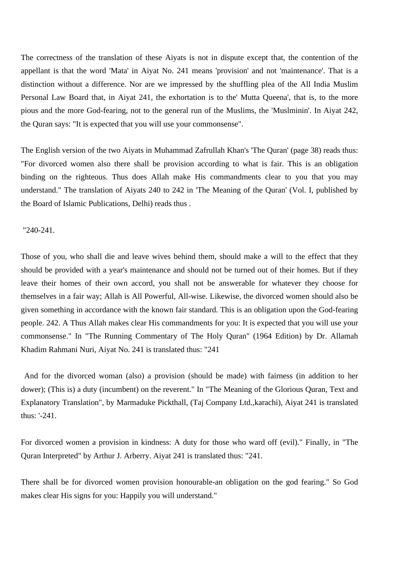The correctness of the translation of these Aiyats is not in dispute except that, the contention of the appellant is that the word 'Mata' in Aiyat No. 241 means 'provision' and not 'maintenance'. That is a distinction without a difference. Nor are we impressed by the shuffling plea of the All India Muslim Personal Law Board that, in Aiyat 241, the exhortation is to the' Mutta Queena', that is, to the more pious and the more God-fearing, not to the general run of the Muslims, the 'Muslminin'. In Aiyat 242, the Quran says: "It is expected that you will use your commonsense".

The English version of the two Aiyats in Muhammad Zafrullah Khan's 'The Quran' (page 38) reads thus: "For divorced women also there shall be provision according to what is fair. This is an obligation binding on the righteous. Thus does Allah make His commandments clear to you that you may understand." The translation of Aiyats 240 to 242 in 'The Meaning of the Quran' (Vol. I, published by the Board of Islamic Publications, Delhi) reads thus .

"240-241.

Those of you, who shall die and leave wives behind them, should make a will to the effect that they should be provided with a year's maintenance and should not be turned out of their homes. But if they leave their homes of their own accord, you shall not be answerable for whatever they choose for themselves in a fair way; Allah is All Powerful, All-wise. Likewise, the divorced women should also be given something in accordance with the known fair standard. This is an obligation upon the God-fearing people. 242. A Thus Allah makes clear His commandments for you: It is expected that you will use your commonsense." In "The Running Commentary of The Holy Quran" (1964 Edition) by Dr. Allamah Khadim Rahmani Nuri, Aiyat No. 241 is translated thus: "241

 And for the divorced woman (also) a provision (should be made) with fairness (in addition to her dower); (This is) a duty (incumbent) on the reverent." In "The Meaning of the Glorious Quran, Text and Explanatory Translation", by Marmaduke Pickthall, (Taj Company Ltd.,karachi), Aiyat 241 is translated thus: '-241.

For divorced women a provision in kindness: A duty for those who ward off (evil)." Finally, in "The Quran Interpreted" by Arthur J. Arberry. Aiyat 241 is translated thus: "241.

There shall be for divorced women provision honourable-an obligation on the god fearing." So God makes clear His signs for you: Happily you will understand."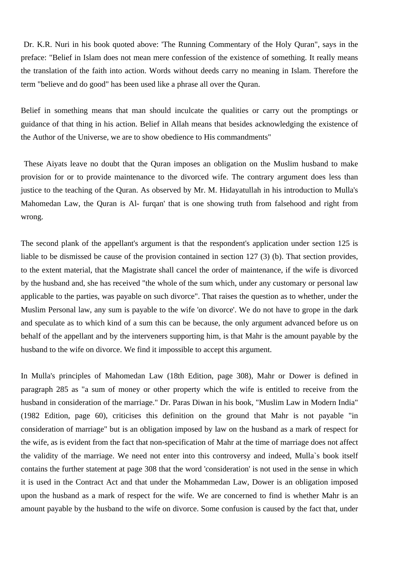Dr. K.R. Nuri in his book quoted above: 'The Running Commentary of the Holy Quran", says in the preface: "Belief in Islam does not mean mere confession of the existence of something. It really means the translation of the faith into action. Words without deeds carry no meaning in Islam. Therefore the term "believe and do good" has been used like a phrase all over the Quran.

Belief in something means that man should inculcate the qualities or carry out the promptings or guidance of that thing in his action. Belief in Allah means that besides acknowledging the existence of the Author of the Universe, we are to show obedience to His commandments"

 These Aiyats leave no doubt that the Quran imposes an obligation on the Muslim husband to make provision for or to provide maintenance to the divorced wife. The contrary argument does less than justice to the teaching of the Quran. As observed by Mr. M. Hidayatullah in his introduction to Mulla's Mahomedan Law, the Quran is Al- furqan' that is one showing truth from falsehood and right from wrong.

The second plank of the appellant's argument is that the respondent's application under section 125 is liable to be dismissed be cause of the provision contained in section 127 (3) (b). That section provides, to the extent material, that the Magistrate shall cancel the order of maintenance, if the wife is divorced by the husband and, she has received "the whole of the sum which, under any customary or personal law applicable to the parties, was payable on such divorce". That raises the question as to whether, under the Muslim Personal law, any sum is payable to the wife 'on divorce'. We do not have to grope in the dark and speculate as to which kind of a sum this can be because, the only argument advanced before us on behalf of the appellant and by the interveners supporting him, is that Mahr is the amount payable by the husband to the wife on divorce. We find it impossible to accept this argument.

In Mulla's principles of Mahomedan Law (18th Edition, page 308), Mahr or Dower is defined in paragraph 285 as "a sum of money or other property which the wife is entitled to receive from the husband in consideration of the marriage." Dr. Paras Diwan in his book, "Muslim Law in Modern India" (1982 Edition, page 60), criticises this definition on the ground that Mahr is not payable "in consideration of marriage" but is an obligation imposed by law on the husband as a mark of respect for the wife, as is evident from the fact that non-specification of Mahr at the time of marriage does not affect the validity of the marriage. We need not enter into this controversy and indeed, Mulla`s book itself contains the further statement at page 308 that the word 'consideration' is not used in the sense in which it is used in the Contract Act and that under the Mohammedan Law, Dower is an obligation imposed upon the husband as a mark of respect for the wife. We are concerned to find is whether Mahr is an amount payable by the husband to the wife on divorce. Some confusion is caused by the fact that, under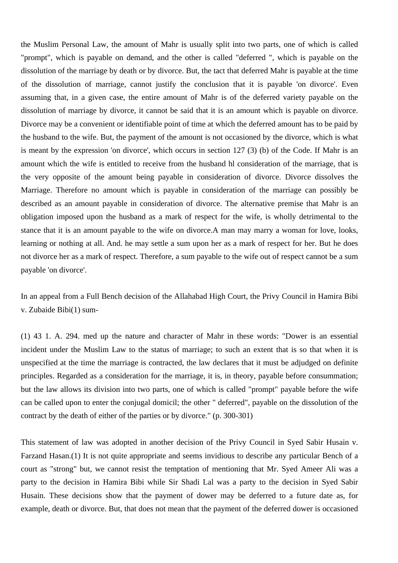the Muslim Personal Law, the amount of Mahr is usually split into two parts, one of which is called "prompt", which is payable on demand, and the other is called "deferred ", which is payable on the dissolution of the marriage by death or by divorce. But, the tact that deferred Mahr is payable at the time of the dissolution of marriage, cannot justify the conclusion that it is payable 'on divorce'. Even assuming that, in a given case, the entire amount of Mahr is of the deferred variety payable on the dissolution of marriage by divorce, it cannot be said that it is an amount which is payable on divorce. Divorce may be a convenient or identifiable point of time at which the deferred amount has to be paid by the husband to the wife. But, the payment of the amount is not occasioned by the divorce, which is what is meant by the expression 'on divorce', which occurs in section 127 (3) (b) of the Code. If Mahr is an amount which the wife is entitled to receive from the husband hl consideration of the marriage, that is the very opposite of the amount being payable in consideration of divorce. Divorce dissolves the Marriage. Therefore no amount which is payable in consideration of the marriage can possibly be described as an amount payable in consideration of divorce. The alternative premise that Mahr is an obligation imposed upon the husband as a mark of respect for the wife, is wholly detrimental to the stance that it is an amount payable to the wife on divorce.A man may marry a woman for love, looks, learning or nothing at all. And. he may settle a sum upon her as a mark of respect for her. But he does not divorce her as a mark of respect. Therefore, a sum payable to the wife out of respect cannot be a sum payable 'on divorce'.

In an appeal from a Full Bench decision of the Allahabad High Court, the Privy Council in Hamira Bibi v. Zubaide Bibi(1) sum-

(1) 43 1. A. 294. med up the nature and character of Mahr in these words: "Dower is an essential incident under the Muslim Law to the status of marriage; to such an extent that is so that when it is unspecified at the time the marriage is contracted, the law declares that it must be adjudged on definite principles. Regarded as a consideration for the marriage, it is, in theory, payable before consummation; but the law allows its division into two parts, one of which is called "prompt" payable before the wife can be called upon to enter the conjugal domicil; the other " deferred", payable on the dissolution of the contract by the death of either of the parties or by divorce." (p. 300-301)

This statement of law was adopted in another decision of the Privy Council in Syed Sabir Husain v. Farzand Hasan.(1) It is not quite appropriate and seems invidious to describe any particular Bench of a court as "strong" but, we cannot resist the temptation of mentioning that Mr. Syed Ameer Ali was a party to the decision in Hamira Bibi while Sir Shadi Lal was a party to the decision in Syed Sabir Husain. These decisions show that the payment of dower may be deferred to a future date as, for example, death or divorce. But, that does not mean that the payment of the deferred dower is occasioned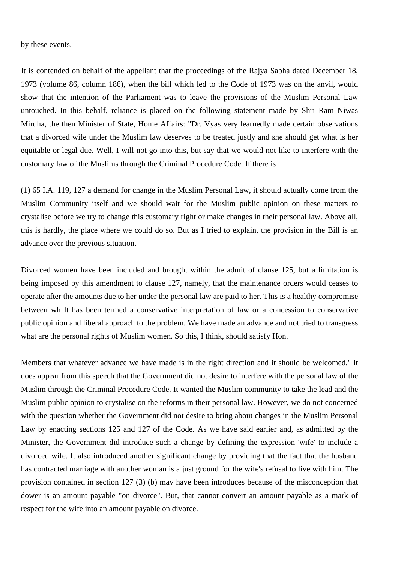by these events.

It is contended on behalf of the appellant that the proceedings of the Rajya Sabha dated December 18, 1973 (volume 86, column 186), when the bill which led to the Code of 1973 was on the anvil, would show that the intention of the Parliament was to leave the provisions of the Muslim Personal Law untouched. In this behalf, reliance is placed on the following statement made by Shri Ram Niwas Mirdha, the then Minister of State, Home Affairs: "Dr. Vyas very learnedly made certain observations that a divorced wife under the Muslim law deserves to be treated justly and she should get what is her equitable or legal due. Well, I will not go into this, but say that we would not like to interfere with the customary law of the Muslims through the Criminal Procedure Code. If there is

(1) 65 I.A. 119, 127 a demand for change in the Muslim Personal Law, it should actually come from the Muslim Community itself and we should wait for the Muslim public opinion on these matters to crystalise before we try to change this customary right or make changes in their personal law. Above all, this is hardly, the place where we could do so. But as I tried to explain, the provision in the Bill is an advance over the previous situation.

Divorced women have been included and brought within the admit of clause 125, but a limitation is being imposed by this amendment to clause 127, namely, that the maintenance orders would ceases to operate after the amounts due to her under the personal law are paid to her. This is a healthy compromise between wh lt has been termed a conservative interpretation of law or a concession to conservative public opinion and liberal approach to the problem. We have made an advance and not tried to transgress what are the personal rights of Muslim women. So this, I think, should satisfy Hon.

Members that whatever advance we have made is in the right direction and it should be welcomed." lt does appear from this speech that the Government did not desire to interfere with the personal law of the Muslim through the Criminal Procedure Code. It wanted the Muslim community to take the lead and the Muslim public opinion to crystalise on the reforms in their personal law. However, we do not concerned with the question whether the Government did not desire to bring about changes in the Muslim Personal Law by enacting sections 125 and 127 of the Code. As we have said earlier and, as admitted by the Minister, the Government did introduce such a change by defining the expression 'wife' to include a divorced wife. It also introduced another significant change by providing that the fact that the husband has contracted marriage with another woman is a just ground for the wife's refusal to live with him. The provision contained in section 127 (3) (b) may have been introduces because of the misconception that dower is an amount payable "on divorce". But, that cannot convert an amount payable as a mark of respect for the wife into an amount payable on divorce.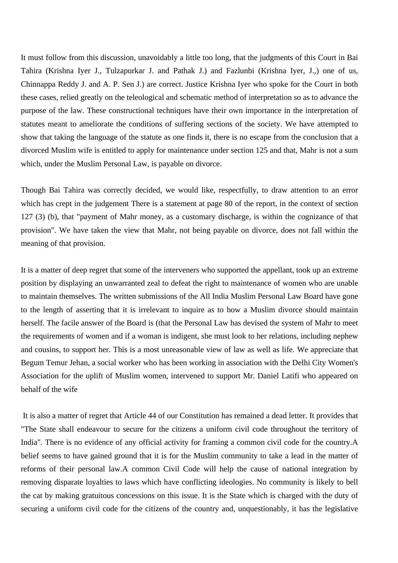It must follow from this discussion, unavoidably a little too long, that the judgments of this Court in Bai Tahira (Krishna Iyer J., Tulzapurkar J. and Pathak J.) and Fazlunbi (Krishna Iyer, J.,) one of us, Chinnappa Reddy J. and A. P. Sen J.) are correct. Justice Krishna Iyer who spoke for the Court in both these cases, relied greatly on the teleological and schematic method of interpretation so as to advance the purpose of the law. These constructional techniques have their own importance in the interpretation of statutes meant to ameliorate the conditions of suffering sections of the society. We have attempted to show that taking the language of the statute as one finds it, there is no escape from the conclusion that a divorced Muslim wife is entitled to apply for maintenance under section 125 and that, Mahr is not a sum which, under the Muslim Personal Law, is payable on divorce.

Though Bai Tahira was correctly decided, we would like, respectfully, to draw attention to an error which has crept in the judgement There is a statement at page 80 of the report, in the context of section 127 (3) (b), that "payment of Mahr money, as a customary discharge, is within the cognizance of that provision". We have taken the view that Mahr, not being payable on divorce, does not fall within the meaning of that provision.

It is a matter of deep regret that some of the interveners who supported the appellant, took up an extreme position by displaying an unwarranted zeal to defeat the right to maintenance of women who are unable to maintain themselves. The written submissions of the All India Muslim Personal Law Board have gone to the length of asserting that it is irrelevant to inquire as to how a Muslim divorce should maintain herself. The facile answer of the Board is (that the Personal Law has devised the system of Mahr to meet the requirements of women and if a woman is indigent, she must look to her relations, including nephew and cousins, to support her. This is a most unreasonable view of law as well as life. We appreciate that Begum Temur Jehan, a social worker who has been working in association with the Delhi City Women's Association for the uplift of Muslim women, intervened to support Mr. Daniel Latifi who appeared on behalf of the wife

 It is also a matter of regret that Article 44 of our Constitution has remained a dead letter. It provides that "The State shall endeavour to secure for the citizens a uniform civil code throughout the territory of India". There is no evidence of any official activity for framing a common civil code for the country.A belief seems to have gained ground that it is for the Muslim community to take a lead in the matter of reforms of their personal law.A common Civil Code will help the cause of national integration by removing disparate loyalties to laws which have conflicting ideologies. No community is likely to bell the cat by making gratuitous concessions on this issue. It is the State which is charged with the duty of securing a uniform civil code for the citizens of the country and, unquestionably, it has the legislative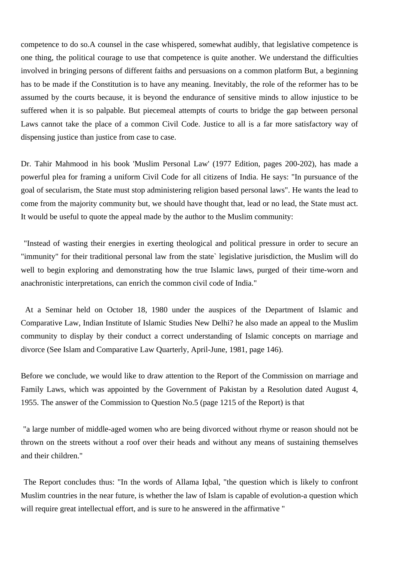competence to do so.A counsel in the case whispered, somewhat audibly, that legislative competence is one thing, the political courage to use that competence is quite another. We understand the difficulties involved in bringing persons of different faiths and persuasions on a common platform But, a beginning has to be made if the Constitution is to have any meaning. Inevitably, the role of the reformer has to be assumed by the courts because, it is beyond the endurance of sensitive minds to allow injustice to be suffered when it is so palpable. But piecemeal attempts of courts to bridge the gap between personal Laws cannot take the place of a common Civil Code. Justice to all is a far more satisfactory way of dispensing justice than justice from case to case.

Dr. Tahir Mahmood in his book 'Muslim Personal Law' (1977 Edition, pages 200-202), has made a powerful plea for framing a uniform Civil Code for all citizens of India. He says: "In pursuance of the goal of secularism, the State must stop administering religion based personal laws". He wants the lead to come from the majority community but, we should have thought that, lead or no lead, the State must act. It would be useful to quote the appeal made by the author to the Muslim community:

 "Instead of wasting their energies in exerting theological and political pressure in order to secure an "immunity" for their traditional personal law from the state` legislative jurisdiction, the Muslim will do well to begin exploring and demonstrating how the true Islamic laws, purged of their time-worn and anachronistic interpretations, can enrich the common civil code of India."

 At a Seminar held on October 18, 1980 under the auspices of the Department of Islamic and Comparative Law, Indian Institute of Islamic Studies New Delhi? he also made an appeal to the Muslim community to display by their conduct a correct understanding of Islamic concepts on marriage and divorce (See Islam and Comparative Law Quarterly, April-June, 1981, page 146).

Before we conclude, we would like to draw attention to the Report of the Commission on marriage and Family Laws, which was appointed by the Government of Pakistan by a Resolution dated August 4, 1955. The answer of the Commission to Question No.5 (page 1215 of the Report) is that

 "a large number of middle-aged women who are being divorced without rhyme or reason should not be thrown on the streets without a roof over their heads and without any means of sustaining themselves and their children."

 The Report concludes thus: "In the words of Allama Iqbal, "the question which is likely to confront Muslim countries in the near future, is whether the law of Islam is capable of evolution-a question which will require great intellectual effort, and is sure to he answered in the affirmative "